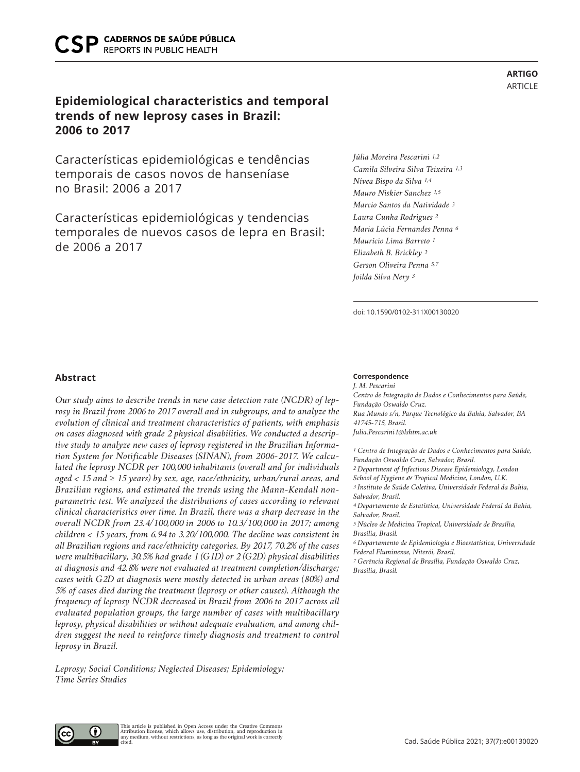# **Epidemiological characteristics and temporal trends of new leprosy cases in Brazil: 2006 to 2017**

Características epidemiológicas e tendências temporais de casos novos de hanseníase no Brasil: 2006 a 2017

Características epidemiológicas y tendencias temporales de nuevos casos de lepra en Brasil: de 2006 a 2017

*Júlia Moreira Pescarini 1,2 Camila Silveira Silva Teixeira 1,3 Nívea Bispo da Silva 1,4 Mauro Niskier Sanchez 1,5 Marcio Santos da Natividade 3 Laura Cunha Rodrigues 2 Maria Lúcia Fernandes Penna 6 Maurício Lima Barreto 1 Elizabeth B. Brickley 2 Gerson Oliveira Penna 5,7 Joilda Silva Nery 3*

doi: 10.1590/0102-311X00130020

# **Abstract**

*Our study aims to describe trends in new case detection rate (NCDR) of leprosy in Brazil from 2006 to 2017 overall and in subgroups, and to analyze the evolution of clinical and treatment characteristics of patients, with emphasis on cases diagnosed with grade 2 physical disabilities. We conducted a descriptive study to analyze new cases of leprosy registered in the Brazilian Information System for Notificable Diseases (SINAN), from 2006-2017. We calculated the leprosy NCDR per 100,000 inhabitants (overall and for individuals aged < 15 and* ≥ *15 years) by sex, age, race/ethnicity, urban/rural areas, and Brazilian regions, and estimated the trends using the Mann-Kendall nonparametric test. We analyzed the distributions of cases according to relevant clinical characteristics over time. In Brazil, there was a sharp decrease in the overall NCDR from 23.4/100,000 in 2006 to 10.3/100,000 in 2017; among children < 15 years, from 6.94 to 3.20/100,000. The decline was consistent in all Brazilian regions and race/ethnicity categories. By 2017, 70.2% of the cases were multibacillary, 30.5% had grade 1 (G1D) or 2 (G2D) physical disabilities at diagnosis and 42.8% were not evaluated at treatment completion/discharge; cases with G2D at diagnosis were mostly detected in urban areas (80%) and 5% of cases died during the treatment (leprosy or other causes). Although the frequency of leprosy NCDR decreased in Brazil from 2006 to 2017 across all evaluated population groups, the large number of cases with multibacillary leprosy, physical disabilities or without adequate evaluation, and among children suggest the need to reinforce timely diagnosis and treatment to control leprosy in Brazil.*

*Leprosy; Social Conditions; Neglected Diseases; Epidemiology; Time Series Studies*

#### **Correspondence**

*J. M. Pescarini Centro de Integração de Dados e Conhecimentos para Saúde, Fundação Oswaldo Cruz. Rua Mundo s/n, Parque Tecnológico da Bahia, Salvador, BA 41745-715, Brasil. Julia.Pescarini1@lshtm.ac.uk*

*1 Centro de Integração de Dados e Conhecimentos para Saúde, Fundação Oswaldo Cruz, Salvador, Brasil. 2 Department of Infectious Disease Epidemiology, London School of Hygiene & Tropical Medicine, London, U.K. 3 Instituto de Saúde Coletiva, Universidade Federal da Bahia, Salvador, Brasil. 4 Departamento de Estatística, Universidade Federal da Bahia, Salvador, Brasil.*

*5 Núcleo de Medicina Tropical, Universidade de Brasília, Brasília, Brasil.*

*6 Departamento de Epidemiologia e Bioestatística, Universidade Federal Fluminense, Niterói, Brasil.*

*7 Gerência Regional de Brasília, Fundação Oswaldo Cruz, Brasília, Brasil.*

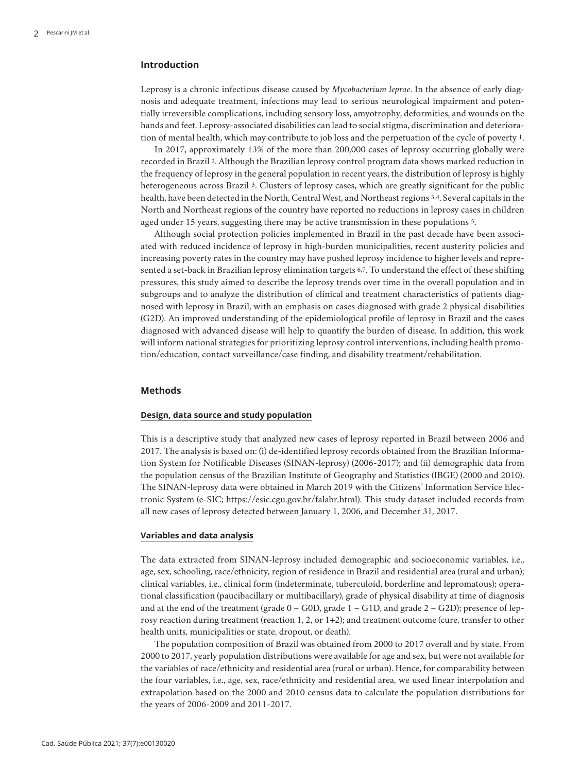# **Introduction**

Leprosy is a chronic infectious disease caused by *Mycobacterium leprae*. In the absence of early diagnosis and adequate treatment, infections may lead to serious neurological impairment and potentially irreversible complications, including sensory loss, amyotrophy, deformities, and wounds on the hands and feet. Leprosy-associated disabilities can lead to social stigma, discrimination and deterioration of mental health, which may contribute to job loss and the perpetuation of the cycle of poverty 1.

In 2017, approximately 13% of the more than 200,000 cases of leprosy occurring globally were recorded in Brazil 2. Although the Brazilian leprosy control program data shows marked reduction in the frequency of leprosy in the general population in recent years, the distribution of leprosy is highly heterogeneous across Brazil 3. Clusters of leprosy cases, which are greatly significant for the public health, have been detected in the North, Central West, and Northeast regions 3,4. Several capitals in the North and Northeast regions of the country have reported no reductions in leprosy cases in children aged under 15 years, suggesting there may be active transmission in these populations 5.

Although social protection policies implemented in Brazil in the past decade have been associated with reduced incidence of leprosy in high-burden municipalities, recent austerity policies and increasing poverty rates in the country may have pushed leprosy incidence to higher levels and represented a set-back in Brazilian leprosy elimination targets 6,7. To understand the effect of these shifting pressures, this study aimed to describe the leprosy trends over time in the overall population and in subgroups and to analyze the distribution of clinical and treatment characteristics of patients diagnosed with leprosy in Brazil, with an emphasis on cases diagnosed with grade 2 physical disabilities (G2D). An improved understanding of the epidemiological profile of leprosy in Brazil and the cases diagnosed with advanced disease will help to quantify the burden of disease. In addition, this work will inform national strategies for prioritizing leprosy control interventions, including health promotion/education, contact surveillance/case finding, and disability treatment/rehabilitation.

#### **Methods**

# **Design, data source and study population**

This is a descriptive study that analyzed new cases of leprosy reported in Brazil between 2006 and 2017. The analysis is based on: (i) de-identified leprosy records obtained from the Brazilian Information System for Notificable Diseases (SINAN-leprosy) (2006-2017); and (ii) demographic data from the population census of the Brazilian Institute of Geography and Statistics (IBGE) (2000 and 2010). The SINAN-leprosy data were obtained in March 2019 with the Citizens' Information Service Electronic System (e-SIC; https://esic.cgu.gov.br/falabr.html). This study dataset included records from all new cases of leprosy detected between January 1, 2006, and December 31, 2017.

# **Variables and data analysis**

The data extracted from SINAN-leprosy included demographic and socioeconomic variables, i.e., age, sex, schooling, race/ethnicity, region of residence in Brazil and residential area (rural and urban); clinical variables, i.e., clinical form (indeterminate, tuberculoid, borderline and lepromatous); operational classification (paucibacillary or multibacillary), grade of physical disability at time of diagnosis and at the end of the treatment (grade 0 – G0D, grade 1 – G1D, and grade 2 – G2D); presence of leprosy reaction during treatment (reaction 1, 2, or 1+2); and treatment outcome (cure, transfer to other health units, municipalities or state, dropout, or death).

The population composition of Brazil was obtained from 2000 to 2017 overall and by state. From 2000 to 2017, yearly population distributions were available for age and sex, but were not available for the variables of race/ethnicity and residential area (rural or urban). Hence, for comparability between the four variables, i.e., age, sex, race/ethnicity and residential area, we used linear interpolation and extrapolation based on the 2000 and 2010 census data to calculate the population distributions for the years of 2006-2009 and 2011-2017.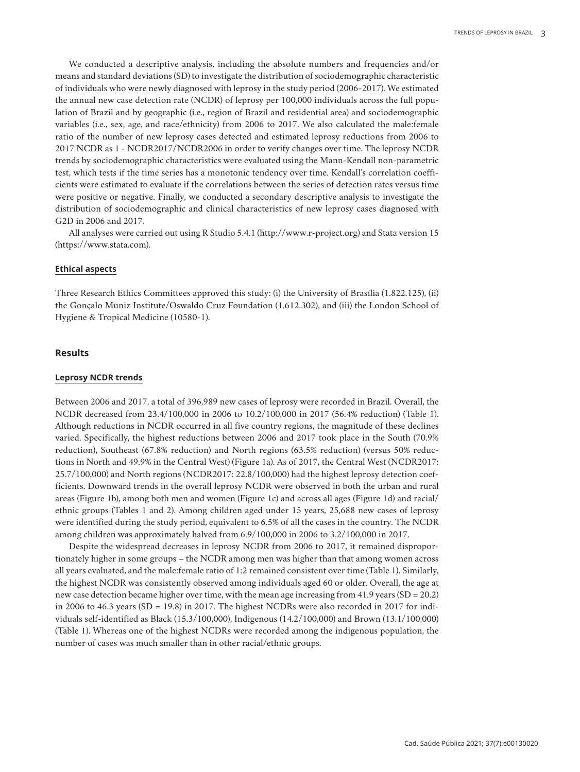We conducted a descriptive analysis, including the absolute numbers and frequencies and/or means and standard deviations (SD) to investigate the distribution of sociodemographic characteristic of individuals who were newly diagnosed with leprosy in the study period (2006-2017). We estimated the annual new case detection rate (NCDR) of leprosy per 100,000 individuals across the full population of Brazil and by geographic (i.e., region of Brazil and residential area) and sociodemographic variables (i.e., sex, age, and race/ethnicity) from 2006 to 2017. We also calculated the male:female ratio of the number of new leprosy cases detected and estimated leprosy reductions from 2006 to 2017 NCDR as 1 - NCDR2017/NCDR2006 in order to verify changes over time. The leprosy NCDR trends by sociodemographic characteristics were evaluated using the Mann-Kendall non-parametric test, which tests if the time series has a monotonic tendency over time. Kendall's correlation coefficients were estimated to evaluate if the correlations between the series of detection rates versus time were positive or negative. Finally, we conducted a secondary descriptive analysis to investigate the distribution of sociodemographic and clinical characteristics of new leprosy cases diagnosed with G2D in 2006 and 2017.

All analyses were carried out using R Studio 5.4.1 (http://www.r-project.org) and Stata version 15 (https://www.stata.com).

#### **Ethical aspects**

Three Research Ethics Committees approved this study: (i) the University of Brasília (1.822.125), (ii) the Gonçalo Muniz Institute/Oswaldo Cruz Foundation (1.612.302), and (iii) the London School of Hygiene & Tropical Medicine (10580-1).

#### **Results**

#### **Leprosy NCDR trends**

Between 2006 and 2017, a total of 396,989 new cases of leprosy were recorded in Brazil. Overall, the NCDR decreased from 23.4/100,000 in 2006 to 10.2/100,000 in 2017 (56.4% reduction) (Table 1). Although reductions in NCDR occurred in all five country regions, the magnitude of these declines varied. Specifically, the highest reductions between 2006 and 2017 took place in the South (70.9% reduction), Southeast (67.8% reduction) and North regions (63.5% reduction) (versus 50% reductions in North and 49.9% in the Central West) (Figure 1a). As of 2017, the Central West (NCDR2017: 25.7/100,000) and North regions (NCDR2017: 22.8/100,000) had the highest leprosy detection coefficients. Downward trends in the overall leprosy NCDR were observed in both the urban and rural areas (Figure 1b), among both men and women (Figure 1c) and across all ages (Figure 1d) and racial/ ethnic groups (Tables 1 and 2). Among children aged under 15 years, 25,688 new cases of leprosy were identified during the study period, equivalent to 6.5% of all the cases in the country. The NCDR among children was approximately halved from 6.9/100,000 in 2006 to 3.2/100,000 in 2017.

Despite the widespread decreases in leprosy NCDR from 2006 to 2017, it remained disproportionately higher in some groups – the NCDR among men was higher than that among women across all years evaluated, and the male:female ratio of 1:2 remained consistent over time (Table 1). Similarly, the highest NCDR was consistently observed among individuals aged 60 or older. Overall, the age at new case detection became higher over time, with the mean age increasing from 41.9 years (SD = 20.2) in 2006 to 46.3 years (SD = 19.8) in 2017. The highest NCDRs were also recorded in 2017 for individuals self-identified as Black (15.3/100,000), Indigenous (14.2/100,000) and Brown (13.1/100,000) (Table 1). Whereas one of the highest NCDRs were recorded among the indigenous population, the number of cases was much smaller than in other racial/ethnic groups.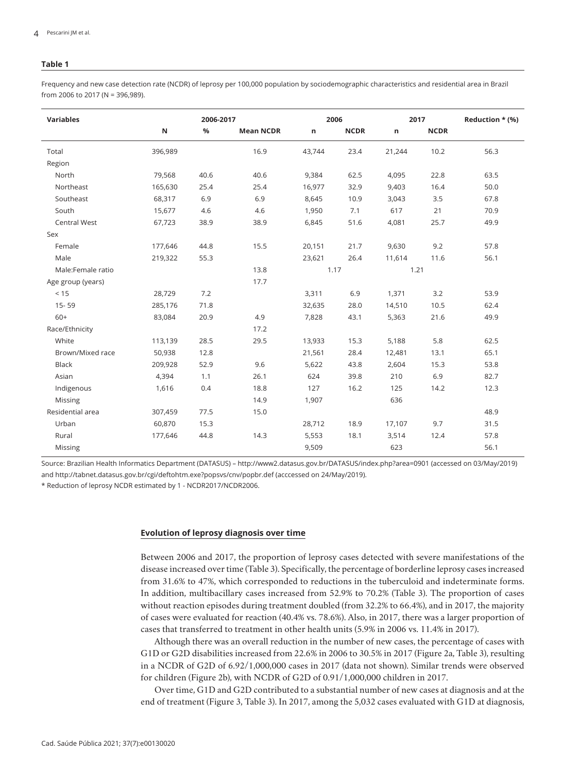Frequency and new case detection rate (NCDR) of leprosy per 100,000 population by sociodemographic characteristics and residential area in Brazil from 2006 to 2017 (N = 396,989).

| <b>Variables</b>    |         | 2006-2017 |                  |        | 2006        |        | 2017        | Reduction * (%) |
|---------------------|---------|-----------|------------------|--------|-------------|--------|-------------|-----------------|
|                     | N       | $\%$      | <b>Mean NCDR</b> | n      | <b>NCDR</b> | n      | <b>NCDR</b> |                 |
| Total               | 396,989 |           | 16.9             | 43,744 | 23.4        | 21,244 | 10.2        | 56.3            |
| Region              |         |           |                  |        |             |        |             |                 |
| North               | 79,568  | 40.6      | 40.6             | 9,384  | 62.5        | 4,095  | 22.8        | 63.5            |
| Northeast           | 165,630 | 25.4      | 25.4             | 16,977 | 32.9        | 9,403  | 16.4        | 50.0            |
| Southeast           | 68,317  | 6.9       | 6.9              | 8,645  | 10.9        | 3,043  | 3.5         | 67.8            |
| South               | 15,677  | 4.6       | 4.6              | 1,950  | 7.1         | 617    | 21          | 70.9            |
| <b>Central West</b> | 67,723  | 38.9      | 38.9             | 6,845  | 51.6        | 4,081  | 25.7        | 49.9            |
| Sex                 |         |           |                  |        |             |        |             |                 |
| Female              | 177,646 | 44.8      | 15.5             | 20,151 | 21.7        | 9,630  | 9.2         | 57.8            |
| Male                | 219,322 | 55.3      |                  | 23,621 | 26.4        | 11,614 | 11.6        | 56.1            |
| Male:Female ratio   | 13.8    |           |                  | 1.17   |             | 1.21   |             |                 |
| Age group (years)   |         |           | 17.7             |        |             |        |             |                 |
| < 15                | 28,729  | 7.2       |                  | 3,311  | 6.9         | 1,371  | 3.2         | 53.9            |
| 15-59               | 285,176 | 71.8      |                  | 32,635 | 28.0        | 14,510 | 10.5        | 62.4            |
| $60+$               | 83,084  | 20.9      | 4.9              | 7,828  | 43.1        | 5,363  | 21.6        | 49.9            |
| Race/Ethnicity      |         |           | 17.2             |        |             |        |             |                 |
| White               | 113,139 | 28.5      | 29.5             | 13,933 | 15.3        | 5,188  | 5.8         | 62.5            |
| Brown/Mixed race    | 50,938  | 12.8      |                  | 21,561 | 28.4        | 12,481 | 13.1        | 65.1            |
| <b>Black</b>        | 209,928 | 52.9      | 9.6              | 5,622  | 43.8        | 2,604  | 15.3        | 53.8            |
| Asian               | 4,394   | 1.1       | 26.1             | 624    | 39.8        | 210    | 6.9         | 82.7            |
| Indigenous          | 1,616   | 0.4       | 18.8             | 127    | 16.2        | 125    | 14.2        | 12.3            |
| Missing             |         |           | 14.9             | 1,907  |             | 636    |             |                 |
| Residential area    | 307,459 | 77.5      | 15.0             |        |             |        |             | 48.9            |
| Urban               | 60,870  | 15.3      |                  | 28,712 | 18.9        | 17,107 | 9.7         | 31.5            |
| Rural               | 177,646 | 44.8      | 14.3             | 5,553  | 18.1        | 3,514  | 12.4        | 57.8            |
| Missing             |         |           |                  | 9,509  |             | 623    |             | 56.1            |

Source: Brazilian Health Informatics Department (DATASUS) – http://www2.datasus.gov.br/DATASUS/index.php?area=0901 (accessed on 03/May/2019) and http://tabnet.datasus.gov.br/cgi/deftohtm.exe?popsvs/cnv/popbr.def (acccessed on 24/May/2019).

\* Reduction of leprosy NCDR estimated by 1 - NCDR2017/NCDR2006.

#### **Evolution of leprosy diagnosis over time**

Between 2006 and 2017, the proportion of leprosy cases detected with severe manifestations of the disease increased over time (Table 3). Specifically, the percentage of borderline leprosy cases increased from 31.6% to 47%, which corresponded to reductions in the tuberculoid and indeterminate forms. In addition, multibacillary cases increased from 52.9% to 70.2% (Table 3). The proportion of cases without reaction episodes during treatment doubled (from 32.2% to 66.4%), and in 2017, the majority of cases were evaluated for reaction (40.4% vs. 78.6%). Also, in 2017, there was a larger proportion of cases that transferred to treatment in other health units (5.9% in 2006 vs. 11.4% in 2017).

Although there was an overall reduction in the number of new cases, the percentage of cases with G1D or G2D disabilities increased from 22.6% in 2006 to 30.5% in 2017 (Figure 2a, Table 3), resulting in a NCDR of G2D of 6.92/1,000,000 cases in 2017 (data not shown). Similar trends were observed for children (Figure 2b), with NCDR of G2D of 0.91/1,000,000 children in 2017.

Over time, G1D and G2D contributed to a substantial number of new cases at diagnosis and at the end of treatment (Figure 3, Table 3). In 2017, among the 5,032 cases evaluated with G1D at diagnosis,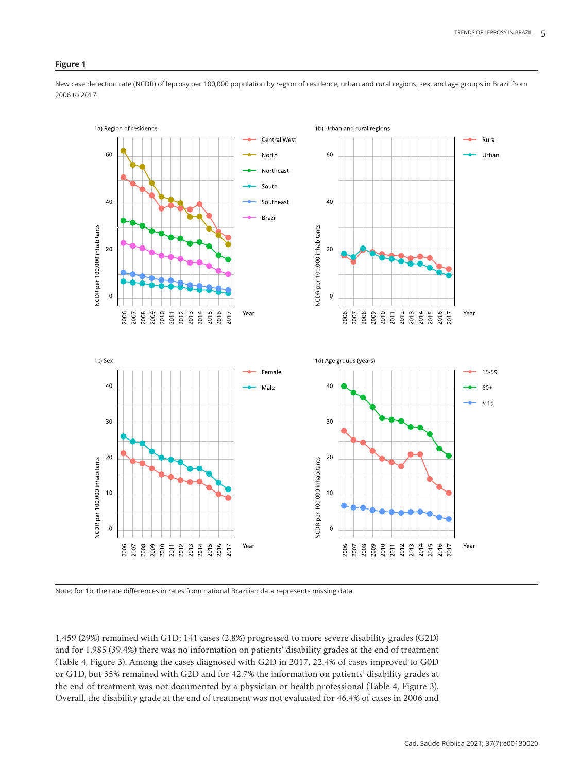#### **Figure 1**

New case detection rate (NCDR) of leprosy per 100,000 population by region of residence, urban and rural regions, sex, and age groups in Brazil from 2006 to 2017.



Note: for 1b, the rate differences in rates from national Brazilian data represents missing data.

1,459 (29%) remained with G1D; 141 cases (2.8%) progressed to more severe disability grades (G2D) and for 1,985 (39.4%) there was no information on patients' disability grades at the end of treatment (Table 4, Figure 3). Among the cases diagnosed with G2D in 2017, 22.4% of cases improved to G0D or G1D, but 35% remained with G2D and for 42.7% the information on patients' disability grades at the end of treatment was not documented by a physician or health professional (Table 4, Figure 3). Overall, the disability grade at the end of treatment was not evaluated for 46.4% of cases in 2006 and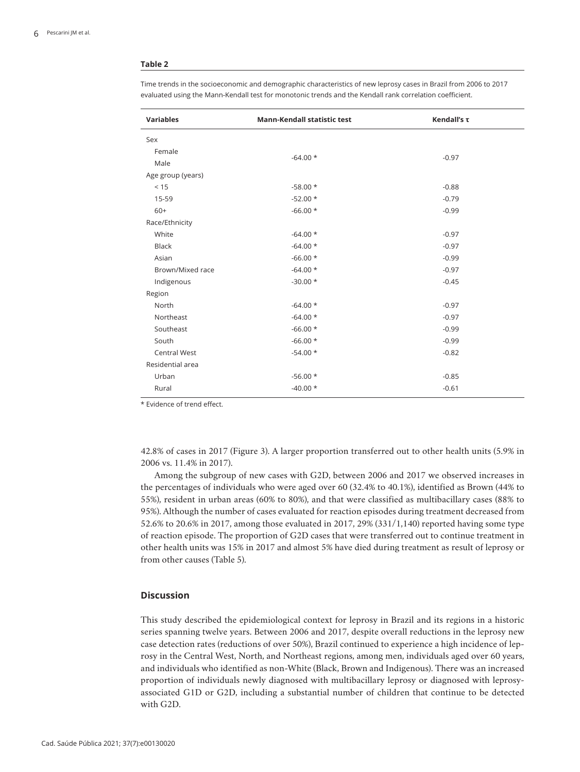| <b>Variables</b>    | Mann-Kendall statistic test | Kendall's τ |
|---------------------|-----------------------------|-------------|
| Sex                 |                             |             |
| Female              | $-64.00*$                   | $-0.97$     |
| Male                |                             |             |
| Age group (years)   |                             |             |
| < 15                | $-58.00*$                   | $-0.88$     |
| 15-59               | $-52.00*$                   | $-0.79$     |
| $60+$               | $-66.00*$                   | $-0.99$     |
| Race/Ethnicity      |                             |             |
| White               | $-64.00*$                   | $-0.97$     |
| <b>Black</b>        | $-64.00*$                   | $-0.97$     |
| Asian               | $-66.00*$                   | $-0.99$     |
| Brown/Mixed race    | $-64.00*$                   | $-0.97$     |
| Indigenous          | $-30.00*$                   | $-0.45$     |
| Region              |                             |             |
| North               | $-64.00*$                   | $-0.97$     |
| Northeast           | $-64.00*$                   | $-0.97$     |
| Southeast           | $-66.00*$                   | $-0.99$     |
| South               | $-66.00*$                   | $-0.99$     |
| <b>Central West</b> | $-54.00*$                   | $-0.82$     |
| Residential area    |                             |             |
| Urban               | $-56.00*$                   | $-0.85$     |
| Rural               | $-40.00*$                   | $-0.61$     |

Time trends in the socioeconomic and demographic characteristics of new leprosy cases in Brazil from 2006 to 2017 evaluated using the Mann-Kendall test for monotonic trends and the Kendall rank correlation coefficient.

\* Evidence of trend effect.

42.8% of cases in 2017 (Figure 3). A larger proportion transferred out to other health units (5.9% in 2006 vs. 11.4% in 2017).

Among the subgroup of new cases with G2D, between 2006 and 2017 we observed increases in the percentages of individuals who were aged over 60 (32.4% to 40.1%), identified as Brown (44% to 55%), resident in urban areas (60% to 80%), and that were classified as multibacillary cases (88% to 95%). Although the number of cases evaluated for reaction episodes during treatment decreased from 52.6% to 20.6% in 2017, among those evaluated in 2017, 29% (331/1,140) reported having some type of reaction episode. The proportion of G2D cases that were transferred out to continue treatment in other health units was 15% in 2017 and almost 5% have died during treatment as result of leprosy or from other causes (Table 5).

# **Discussion**

This study described the epidemiological context for leprosy in Brazil and its regions in a historic series spanning twelve years. Between 2006 and 2017, despite overall reductions in the leprosy new case detection rates (reductions of over 50%), Brazil continued to experience a high incidence of leprosy in the Central West, North, and Northeast regions, among men, individuals aged over 60 years, and individuals who identified as non-White (Black, Brown and Indigenous). There was an increased proportion of individuals newly diagnosed with multibacillary leprosy or diagnosed with leprosyassociated G1D or G2D, including a substantial number of children that continue to be detected with G2D.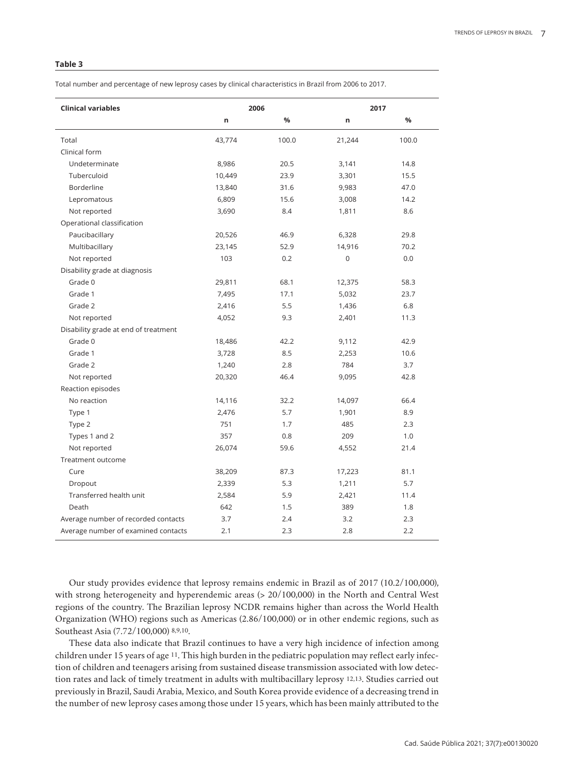Total number and percentage of new leprosy cases by clinical characteristics in Brazil from 2006 to 2017.

| <b>Clinical variables</b>            |        | 2006  | 2017        |       |  |
|--------------------------------------|--------|-------|-------------|-------|--|
|                                      | n      | %     | n           | %     |  |
| Total                                | 43,774 | 100.0 | 21,244      | 100.0 |  |
| Clinical form                        |        |       |             |       |  |
| Undeterminate                        | 8,986  | 20.5  | 3,141       | 14.8  |  |
| Tuberculoid                          | 10,449 | 23.9  | 3,301       | 15.5  |  |
| <b>Borderline</b>                    | 13,840 | 31.6  | 9,983       | 47.0  |  |
| Lepromatous                          | 6,809  | 15.6  | 3,008       | 14.2  |  |
| Not reported                         | 3,690  | 8.4   | 1,811       | 8.6   |  |
| Operational classification           |        |       |             |       |  |
| Paucibacillary                       | 20,526 | 46.9  | 6,328       | 29.8  |  |
| Multibacillary                       | 23,145 | 52.9  | 14,916      | 70.2  |  |
| Not reported                         | 103    | 0.2   | $\mathbf 0$ | 0.0   |  |
| Disability grade at diagnosis        |        |       |             |       |  |
| Grade 0                              | 29,811 | 68.1  | 12,375      | 58.3  |  |
| Grade 1                              | 7,495  | 17.1  | 5,032       | 23.7  |  |
| Grade 2                              | 2,416  | 5.5   | 1,436       | 6.8   |  |
| Not reported                         | 4,052  | 9.3   | 2,401       | 11.3  |  |
| Disability grade at end of treatment |        |       |             |       |  |
| Grade 0                              | 18,486 | 42.2  | 9,112       | 42.9  |  |
| Grade 1                              | 3,728  | 8.5   | 2,253       | 10.6  |  |
| Grade 2                              | 1,240  | 2.8   | 784         | 3.7   |  |
| Not reported                         | 20,320 | 46.4  | 9,095       | 42.8  |  |
| Reaction episodes                    |        |       |             |       |  |
| No reaction                          | 14,116 | 32.2  | 14,097      | 66.4  |  |
| Type 1                               | 2,476  | 5.7   | 1,901       | 8.9   |  |
| Type 2                               | 751    | 1.7   | 485         | 2.3   |  |
| Types 1 and 2                        | 357    | 0.8   | 209         | 1.0   |  |
| Not reported                         | 26,074 | 59.6  | 4,552       | 21.4  |  |
| Treatment outcome                    |        |       |             |       |  |
| Cure                                 | 38,209 | 87.3  | 17,223      | 81.1  |  |
| Dropout                              | 2,339  | 5.3   | 1,211       | 5.7   |  |
| Transferred health unit              | 2,584  | 5.9   | 2,421       | 11.4  |  |
| Death                                | 642    | 1.5   | 389         | 1.8   |  |
| Average number of recorded contacts  | 3.7    | 2.4   | 3.2         | 2.3   |  |
| Average number of examined contacts  | 2.1    | 2.3   | 2.8         | 2.2   |  |

Our study provides evidence that leprosy remains endemic in Brazil as of 2017 (10.2/100,000), with strong heterogeneity and hyperendemic areas (> 20/100,000) in the North and Central West regions of the country. The Brazilian leprosy NCDR remains higher than across the World Health Organization (WHO) regions such as Americas (2.86/100,000) or in other endemic regions, such as Southeast Asia (7.72/100,000) 8,9,10.

These data also indicate that Brazil continues to have a very high incidence of infection among children under 15 years of age 11. This high burden in the pediatric population may reflect early infection of children and teenagers arising from sustained disease transmission associated with low detection rates and lack of timely treatment in adults with multibacillary leprosy 12,13. Studies carried out previously in Brazil, Saudi Arabia, Mexico, and South Korea provide evidence of a decreasing trend in the number of new leprosy cases among those under 15 years, which has been mainly attributed to the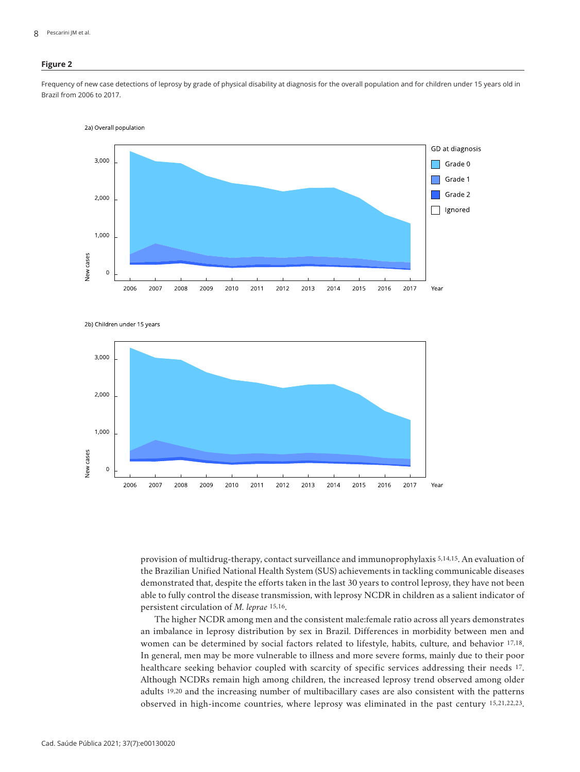# **Figure 2**

Frequency of new case detections of leprosy by grade of physical disability at diagnosis for the overall population and for children under 15 years old in Brazil from 2006 to 2017.



2b) Children under 15 years



provision of multidrug-therapy, contact surveillance and immunoprophylaxis 5,14,15. An evaluation of the Brazilian Unified National Health System (SUS) achievements in tackling communicable diseases demonstrated that, despite the efforts taken in the last 30 years to control leprosy, they have not been able to fully control the disease transmission, with leprosy NCDR in children as a salient indicator of persistent circulation of *M. leprae* 15,16.

The higher NCDR among men and the consistent male:female ratio across all years demonstrates an imbalance in leprosy distribution by sex in Brazil. Differences in morbidity between men and women can be determined by social factors related to lifestyle, habits, culture, and behavior 17,18. In general, men may be more vulnerable to illness and more severe forms, mainly due to their poor healthcare seeking behavior coupled with scarcity of specific services addressing their needs 17. Although NCDRs remain high among children, the increased leprosy trend observed among older adults 19,20 and the increasing number of multibacillary cases are also consistent with the patterns observed in high-income countries, where leprosy was eliminated in the past century 15,21,22,23.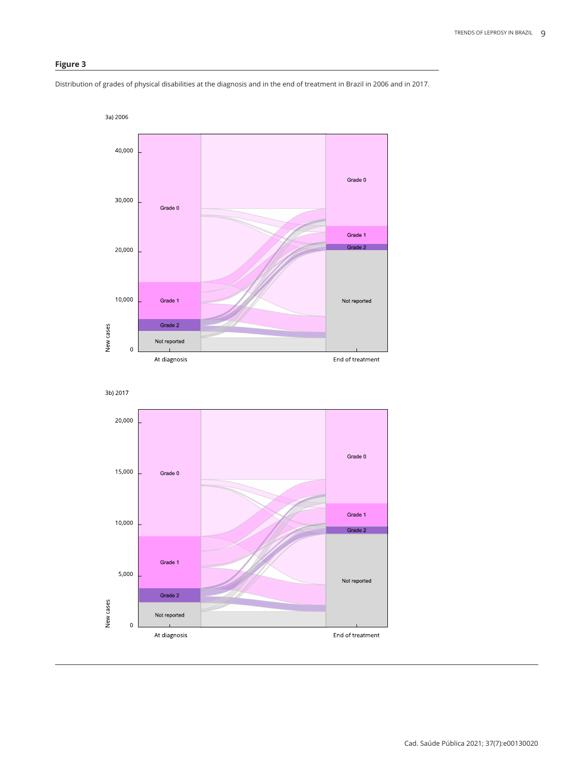# **Figure 3**

Distribution of grades of physical disabilities at the diagnosis and in the end of treatment in Brazil in 2006 and in 2017.

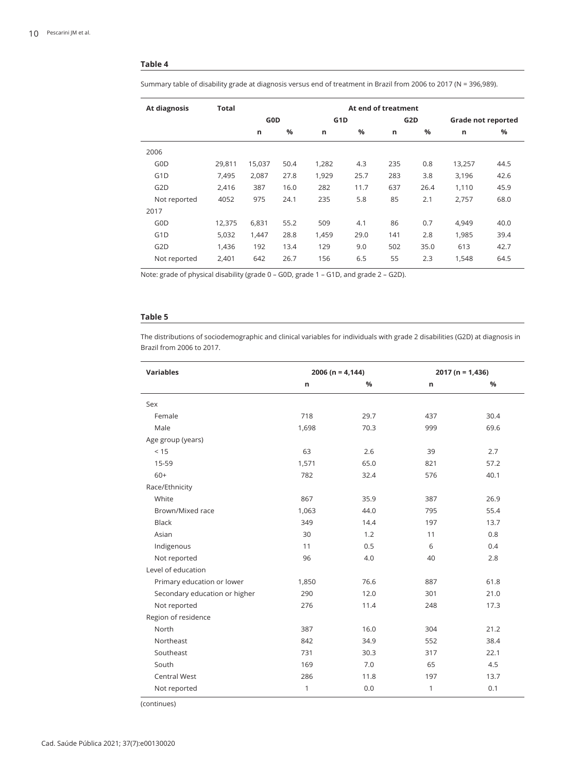Summary table of disability grade at diagnosis versus end of treatment in Brazil from 2006 to 2017 (N = 396,989).

| At diagnosis     | <b>Total</b> | At end of treatment |               |                  |               |     |                  |        |                    |  |
|------------------|--------------|---------------------|---------------|------------------|---------------|-----|------------------|--------|--------------------|--|
|                  |              | G <sub>0</sub> D    |               | G <sub>1</sub> D |               |     | G <sub>2</sub> D |        | Grade not reported |  |
|                  |              | $\mathsf{n}$        | $\frac{0}{0}$ | n                | $\frac{9}{6}$ | n   | %                | n      | $\frac{9}{6}$      |  |
| 2006             |              |                     |               |                  |               |     |                  |        |                    |  |
| G0D              | 29,811       | 15,037              | 50.4          | 1,282            | 4.3           | 235 | 0.8              | 13,257 | 44.5               |  |
| G <sub>1</sub> D | 7,495        | 2,087               | 27.8          | 1,929            | 25.7          | 283 | 3.8              | 3,196  | 42.6               |  |
| G <sub>2</sub> D | 2,416        | 387                 | 16.0          | 282              | 11.7          | 637 | 26.4             | 1,110  | 45.9               |  |
| Not reported     | 4052         | 975                 | 24.1          | 235              | 5.8           | 85  | 2.1              | 2,757  | 68.0               |  |
| 2017             |              |                     |               |                  |               |     |                  |        |                    |  |
| G0D              | 12,375       | 6,831               | 55.2          | 509              | 4.1           | 86  | 0.7              | 4,949  | 40.0               |  |
| G <sub>1</sub> D | 5,032        | 1,447               | 28.8          | 1,459            | 29.0          | 141 | 2.8              | 1,985  | 39.4               |  |
| G <sub>2</sub> D | 1.436        | 192                 | 13.4          | 129              | 9.0           | 502 | 35.0             | 613    | 42.7               |  |
| Not reported     | 2,401        | 642                 | 26.7          | 156              | 6.5           | 55  | 2.3              | 1,548  | 64.5               |  |

Note: grade of physical disability (grade 0 – G0D, grade 1 – G1D, and grade 2 – G2D).

# **Table 5**

The distributions of sociodemographic and clinical variables for individuals with grade 2 disabilities (G2D) at diagnosis in Brazil from 2006 to 2017.

| <b>Variables</b>              | $2006 (n = 4, 144)$ |      | $2017 (n = 1,436)$ |      |  |
|-------------------------------|---------------------|------|--------------------|------|--|
|                               | n                   | %    | n                  | %    |  |
| Sex                           |                     |      |                    |      |  |
| Female                        | 718                 | 29.7 | 437                | 30.4 |  |
| Male                          | 1,698               | 70.3 | 999                | 69.6 |  |
| Age group (years)             |                     |      |                    |      |  |
| < 15                          | 63                  | 2.6  | 39                 | 2.7  |  |
| 15-59                         | 1,571               | 65.0 | 821                | 57.2 |  |
| $60+$                         | 782                 | 32.4 | 576                | 40.1 |  |
| Race/Ethnicity                |                     |      |                    |      |  |
| White                         | 867                 | 35.9 | 387                | 26.9 |  |
| Brown/Mixed race              | 1,063               | 44.0 | 795                | 55.4 |  |
| <b>Black</b>                  | 349                 | 14.4 | 197                | 13.7 |  |
| Asian                         | 30                  | 1.2  | 11                 | 0.8  |  |
| Indigenous                    | 11                  | 0.5  | 6                  | 0.4  |  |
| Not reported                  | 96                  | 4.0  | 40                 | 2.8  |  |
| Level of education            |                     |      |                    |      |  |
| Primary education or lower    | 1,850               | 76.6 | 887                | 61.8 |  |
| Secondary education or higher | 290                 | 12.0 | 301                | 21.0 |  |
| Not reported                  | 276                 | 11.4 | 248                | 17.3 |  |
| Region of residence           |                     |      |                    |      |  |
| North                         | 387                 | 16.0 | 304                | 21.2 |  |
| Northeast                     | 842                 | 34.9 | 552                | 38.4 |  |
| Southeast                     | 731                 | 30.3 | 317                | 22.1 |  |
| South                         | 169                 | 7.0  | 65                 | 4.5  |  |
| <b>Central West</b>           | 286                 | 11.8 | 197                | 13.7 |  |
| Not reported                  | $\mathbf{1}$        | 0.0  | $\mathbf{1}$       | 0.1  |  |

(continues)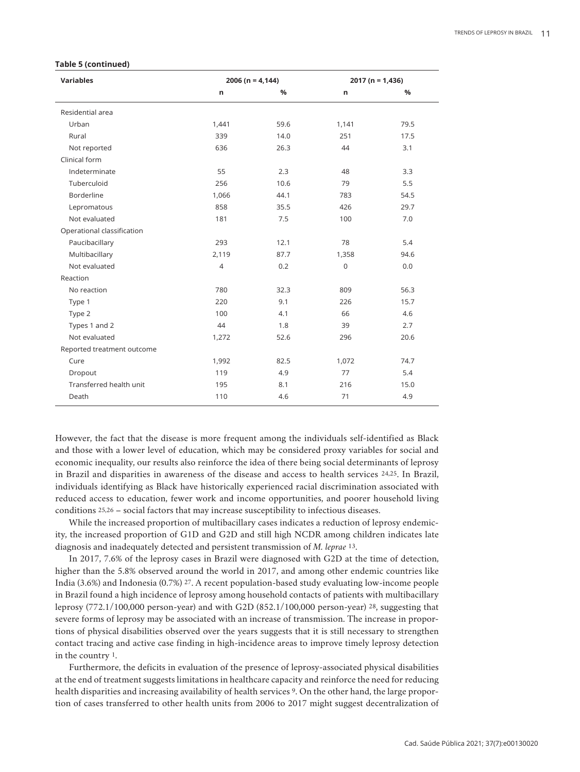#### **Table 5 (continued)**

| <b>Variables</b>           | $2006 (n = 4,144)$ |      | $2017 (n = 1,436)$  |      |
|----------------------------|--------------------|------|---------------------|------|
|                            | n                  | %    | n                   | %    |
| Residential area           |                    |      |                     |      |
| Urban                      | 1,441              | 59.6 | 1,141               | 79.5 |
| Rural                      | 339                | 14.0 | 251                 | 17.5 |
| Not reported               | 636                | 26.3 | 44                  | 3.1  |
| Clinical form              |                    |      |                     |      |
| Indeterminate              | 55                 | 2.3  | 48                  | 3.3  |
| Tuberculoid                | 256                | 10.6 | 79                  | 5.5  |
| Borderline                 | 1,066              | 44.1 | 783                 | 54.5 |
| Lepromatous                | 858                | 35.5 | 426                 | 29.7 |
| Not evaluated              | 181                | 7.5  | 100                 | 7.0  |
| Operational classification |                    |      |                     |      |
| Paucibacillary             | 293                | 12.1 | 78                  | 5.4  |
| Multibacillary             | 2,119              | 87.7 | 1,358               | 94.6 |
| Not evaluated              | $\sqrt{4}$         | 0.2  | $\mathsf{O}\xspace$ | 0.0  |
| Reaction                   |                    |      |                     |      |
| No reaction                | 780                | 32.3 | 809                 | 56.3 |
| Type 1                     | 220                | 9.1  | 226                 | 15.7 |
| Type 2                     | 100                | 4.1  | 66                  | 4.6  |
| Types 1 and 2              | 44                 | 1.8  | 39                  | 2.7  |
| Not evaluated              | 1,272              | 52.6 | 296                 | 20.6 |
| Reported treatment outcome |                    |      |                     |      |
| Cure                       | 1,992              | 82.5 | 1,072               | 74.7 |
| Dropout                    | 119                | 4.9  | 77                  | 5.4  |
| Transferred health unit    | 195                | 8.1  | 216                 | 15.0 |
| Death                      | 110                | 4.6  | 71                  | 4.9  |

However, the fact that the disease is more frequent among the individuals self-identified as Black and those with a lower level of education, which may be considered proxy variables for social and economic inequality, our results also reinforce the idea of there being social determinants of leprosy in Brazil and disparities in awareness of the disease and access to health services 24,25. In Brazil, individuals identifying as Black have historically experienced racial discrimination associated with reduced access to education, fewer work and income opportunities, and poorer household living conditions 25,26 – social factors that may increase susceptibility to infectious diseases.

While the increased proportion of multibacillary cases indicates a reduction of leprosy endemicity, the increased proportion of G1D and G2D and still high NCDR among children indicates late diagnosis and inadequately detected and persistent transmission of *M. leprae* 13.

In 2017, 7.6% of the leprosy cases in Brazil were diagnosed with G2D at the time of detection, higher than the 5.8% observed around the world in 2017, and among other endemic countries like India (3.6%) and Indonesia (0.7%) 27. A recent population-based study evaluating low-income people in Brazil found a high incidence of leprosy among household contacts of patients with multibacillary leprosy (772.1/100,000 person-year) and with G2D (852.1/100,000 person-year) 28, suggesting that severe forms of leprosy may be associated with an increase of transmission. The increase in proportions of physical disabilities observed over the years suggests that it is still necessary to strengthen contact tracing and active case finding in high-incidence areas to improve timely leprosy detection in the country 1.

Furthermore, the deficits in evaluation of the presence of leprosy-associated physical disabilities at the end of treatment suggests limitations in healthcare capacity and reinforce the need for reducing health disparities and increasing availability of health services 9. On the other hand, the large proportion of cases transferred to other health units from 2006 to 2017 might suggest decentralization of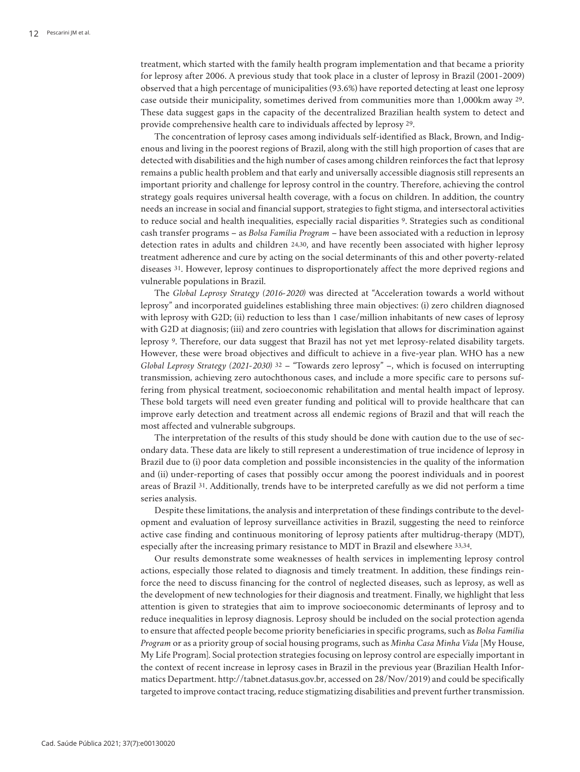treatment, which started with the family health program implementation and that became a priority for leprosy after 2006. A previous study that took place in a cluster of leprosy in Brazil (2001-2009) observed that a high percentage of municipalities (93.6%) have reported detecting at least one leprosy case outside their municipality, sometimes derived from communities more than 1,000km away 29. These data suggest gaps in the capacity of the decentralized Brazilian health system to detect and provide comprehensive health care to individuals affected by leprosy 29.

The concentration of leprosy cases among individuals self-identified as Black, Brown, and Indigenous and living in the poorest regions of Brazil, along with the still high proportion of cases that are detected with disabilities and the high number of cases among children reinforces the fact that leprosy remains a public health problem and that early and universally accessible diagnosis still represents an important priority and challenge for leprosy control in the country. Therefore, achieving the control strategy goals requires universal health coverage, with a focus on children. In addition, the country needs an increase in social and financial support, strategies to fight stigma, and intersectoral activities to reduce social and health inequalities, especially racial disparities 9. Strategies such as conditional cash transfer programs – as *Bolsa Família Program* – have been associated with a reduction in leprosy detection rates in adults and children 24,30, and have recently been associated with higher leprosy treatment adherence and cure by acting on the social determinants of this and other poverty-related diseases 31. However, leprosy continues to disproportionately affect the more deprived regions and vulnerable populations in Brazil.

The *Global Leprosy Strategy (2016-2020)* was directed at "Acceleration towards a world without leprosy" and incorporated guidelines establishing three main objectives: (i) zero children diagnosed with leprosy with G2D; (ii) reduction to less than 1 case/million inhabitants of new cases of leprosy with G2D at diagnosis; (iii) and zero countries with legislation that allows for discrimination against leprosy 9. Therefore, our data suggest that Brazil has not yet met leprosy-related disability targets. However, these were broad objectives and difficult to achieve in a five-year plan. WHO has a new *Global Leprosy Strategy (2021-2030)* 32 – "Towards zero leprosy" –, which is focused on interrupting transmission, achieving zero autochthonous cases, and include a more specific care to persons suffering from physical treatment, socioeconomic rehabilitation and mental health impact of leprosy. These bold targets will need even greater funding and political will to provide healthcare that can improve early detection and treatment across all endemic regions of Brazil and that will reach the most affected and vulnerable subgroups.

The interpretation of the results of this study should be done with caution due to the use of secondary data. These data are likely to still represent a underestimation of true incidence of leprosy in Brazil due to (i) poor data completion and possible inconsistencies in the quality of the information and (ii) under-reporting of cases that possibly occur among the poorest individuals and in poorest areas of Brazil 31. Additionally, trends have to be interpreted carefully as we did not perform a time series analysis.

Despite these limitations, the analysis and interpretation of these findings contribute to the development and evaluation of leprosy surveillance activities in Brazil, suggesting the need to reinforce active case finding and continuous monitoring of leprosy patients after multidrug-therapy (MDT), especially after the increasing primary resistance to MDT in Brazil and elsewhere 33,34.

Our results demonstrate some weaknesses of health services in implementing leprosy control actions, especially those related to diagnosis and timely treatment. In addition, these findings reinforce the need to discuss financing for the control of neglected diseases, such as leprosy, as well as the development of new technologies for their diagnosis and treatment. Finally, we highlight that less attention is given to strategies that aim to improve socioeconomic determinants of leprosy and to reduce inequalities in leprosy diagnosis. Leprosy should be included on the social protection agenda to ensure that affected people become priority beneficiaries in specific programs, such as *Bolsa Família Program* or as a priority group of social housing programs, such as *Minha Casa Minha Vida* [My House, My Life Program]. Social protection strategies focusing on leprosy control are especially important in the context of recent increase in leprosy cases in Brazil in the previous year (Brazilian Health Informatics Department. http://tabnet.datasus.gov.br, accessed on 28/Nov/2019) and could be specifically targeted to improve contact tracing, reduce stigmatizing disabilities and prevent further transmission.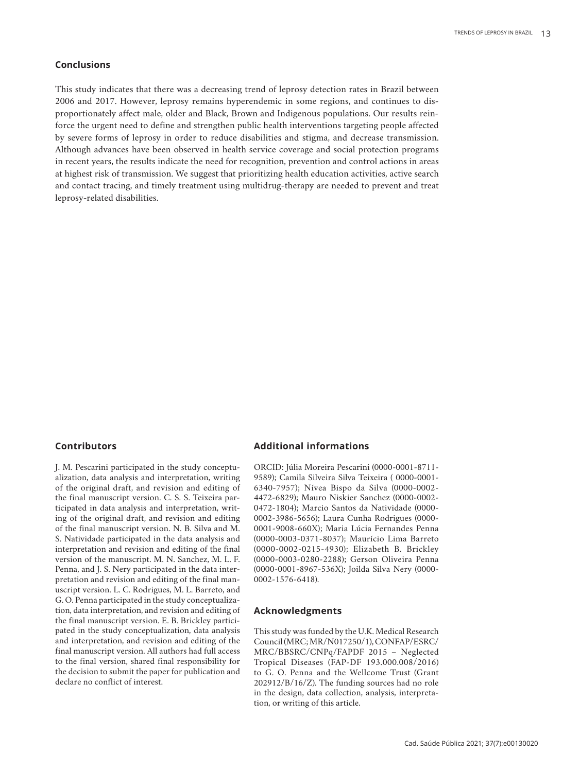# **Conclusions**

This study indicates that there was a decreasing trend of leprosy detection rates in Brazil between 2006 and 2017. However, leprosy remains hyperendemic in some regions, and continues to disproportionately affect male, older and Black, Brown and Indigenous populations. Our results reinforce the urgent need to define and strengthen public health interventions targeting people affected by severe forms of leprosy in order to reduce disabilities and stigma, and decrease transmission. Although advances have been observed in health service coverage and social protection programs in recent years, the results indicate the need for recognition, prevention and control actions in areas at highest risk of transmission. We suggest that prioritizing health education activities, active search and contact tracing, and timely treatment using multidrug-therapy are needed to prevent and treat leprosy-related disabilities.

#### **Contributors**

J. M. Pescarini participated in the study conceptualization, data analysis and interpretation, writing of the original draft, and revision and editing of the final manuscript version. C. S. S. Teixeira participated in data analysis and interpretation, writing of the original draft, and revision and editing of the final manuscript version. N. B. Silva and M. S. Natividade participated in the data analysis and interpretation and revision and editing of the final version of the manuscript. M. N. Sanchez, M. L. F. Penna, and J. S. Nery participated in the data interpretation and revision and editing of the final manuscript version. L. C. Rodrigues, M. L. Barreto, and G. O. Penna participated in the study conceptualization, data interpretation, and revision and editing of the final manuscript version. E. B. Brickley participated in the study conceptualization, data analysis and interpretation, and revision and editing of the final manuscript version. All authors had full access to the final version, shared final responsibility for the decision to submit the paper for publication and declare no conflict of interest.

# **Additional informations**

ORCID: Júlia Moreira Pescarini (0000-0001-8711- 9589); Camila Silveira Silva Teixeira ( 0000-0001- 6340-7957); Nívea Bispo da Silva (0000-0002- 4472-6829); Mauro Niskier Sanchez (0000-0002- 0472-1804); Marcio Santos da Natividade (0000- 0002-3986-5656); Laura Cunha Rodrigues (0000- 0001-9008-660X); Maria Lúcia Fernandes Penna (0000-0003-0371-8037); Maurício Lima Barreto (0000-0002-0215-4930); Elizabeth B. Brickley (0000-0003-0280-2288); Gerson Oliveira Penna (0000-0001-8967-536X); Joilda Silva Nery (0000- 0002-1576-6418).

## **Acknowledgments**

This study was funded by the U.K. Medical Research Council (MRC; MR/N017250/1), CONFAP/ESRC/ MRC/BBSRC/CNPq/FAPDF 2015 – Neglected Tropical Diseases (FAP-DF 193.000.008/2016) to G. O. Penna and the Wellcome Trust (Grant 202912/B/16/Z). The funding sources had no role in the design, data collection, analysis, interpretation, or writing of this article.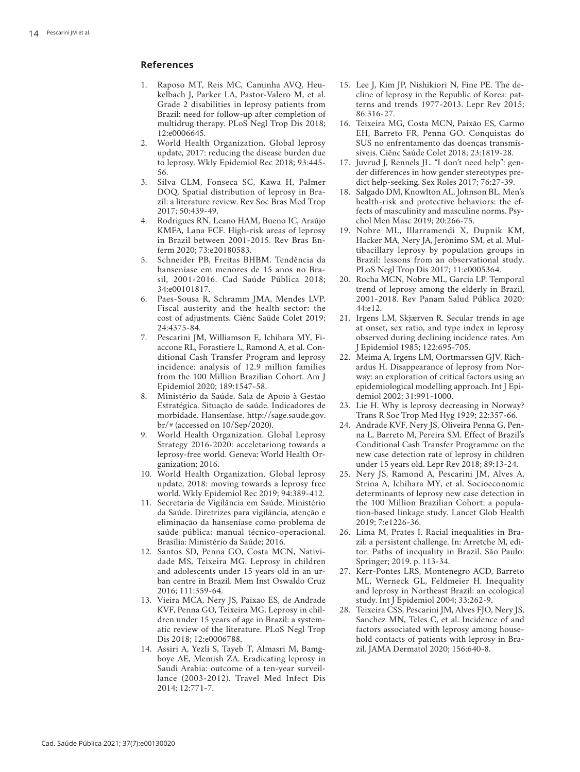# **References**

- 1. Raposo MT, Reis MC, Caminha AVQ, Heu kelbach J, Parker LA, Pastor-Valero M, et al. Grade 2 disabilities in leprosy patients from Brazil: need for follow-up after completion of multidrug therapy. PLoS Negl Trop Dis 2018; 12:e0006645.
- 2. World Health Organization. Global leprosy update, 2017: reducing the disease burden due to leprosy. Wkly Epidemiol Rec 2018; 93:445- 56.
- 3. Silva CLM, Fonseca SC, Kawa H, Palmer DOQ. Spatial distribution of leprosy in Bra zil: a literature review. Rev Soc Bras Med Trop 2017; 50:439-49.
- 4. Rodrigues RN, Leano HAM, Bueno IC, Araújo KMFA, Lana FCF. High-risk areas of leprosy in Brazil between 2001-2015. Rev Bras En ferm 2020; 73:e20180583.
- 5. Schneider PB, Freitas BHBM. Tendência da hanseníase em menores de 15 anos no Bra sil, 2001-2016. Cad Saúde Pública 2018; 34:e00101817.
- 6. Paes-Sousa R, Schramm JMA, Mendes LVP. Fiscal austerity and the health sector: the cost of adjustments. Ciênc Saúde Colet 2019; 24:4375-84.
- 7. Pescarini JM, Williamson E, Ichihara MY, Fi accone RL, Forastiere L, Ramond A, et al. Con ditional Cash Transfer Program and leprosy incidence: analysis of 12.9 million families from the 100 Million Brazilian Cohort. Am J Epidemiol 2020; 189:1547-58.
- 8. Ministério da Saúde. Sala de Apoio à Gestão Estratégica. Situação de saúde. Indicadores de morbidade. Hanseníase. http://sage.saude.gov. br/# (accessed on 10/Sep/2020).
- 9. World Health Organization. Global Leprosy Strategy 2016-2020: acceletariong towards a leprosy-free world. Geneva: World Health Or ganization; 2016.
- 10. World Health Organization. Global leprosy update, 2018: moving towards a leprosy free world. Wkly Epidemiol Rec 2019; 94:389-412.
- 11. Secretaria de Vigilância em Saúde, Ministério da Saúde. Diretrizes para vigilância, atenção e eliminação da hanseníase como problema de saúde pública: manual técnico-operacional. Brasília: Ministério da Saúde; 2016.
- 12. Santos SD, Penna GO, Costa MCN, Nativi dade MS, Teixeira MG. Leprosy in children and adolescents under 15 years old in an ur ban centre in Brazil. Mem Inst Oswaldo Cruz 2016; 111:359-64.
- 13. Vieira MCA, Nery JS, Paixao ES, de Andrade KVF, Penna GO, Teixeira MG. Leprosy in chil dren under 15 years of age in Brazil: a system atic review of the literature. PLoS Negl Trop Dis 2018; 12:e0006788.
- 14. Assiri A, Yezli S, Tayeb T, Almasri M, Bamg boye AE, Memish ZA. Eradicating leprosy in Saudi Arabia: outcome of a ten-year surveil lance (2003-2012). Travel Med Infect Dis 2014; 12:771-7.
- 15. Lee J, Kim JP, Nishikiori N, Fine PE. The de cline of leprosy in the Republic of Korea: pat terns and trends 1977-2013. Lepr Rev 2015; 86:316-27.
- 16. Teixeira MG, Costa MCN, Paixão ES, Carmo EH, Barreto FR, Penna GO. Conquistas do SUS no enfrentamento das doenças transmis síveis. Ciênc Saúde Colet 2018; 23:1819-28.
- 17. Juvrud J, Rennels JL. "I don't need help": gen der differences in how gender stereotypes pre dict help-seeking. Sex Roles 2017; 76:27-39.
- 18. Salgado DM, Knowlton AL, Johnson BL. Men's health-risk and protective behaviors: the ef fects of masculinity and masculine norms. Psy chol Men Masc 2019; 20:266-75.
- 19. Nobre ML, Illarramendi X, Dupnik KM, Hacker MA, Nery JA, Jerônimo SM, et al. Mul tibacillary leprosy by population groups in Brazil: lessons from an observational study. PLoS Negl Trop Dis 2017; 11:e0005364.
- 20. Rocha MCN, Nobre ML, Garcia LP. Temporal trend of leprosy among the elderly in Brazil, 2001-2018. Rev Panam Salud Pública 2020; 44:e12.
- 21. Irgens LM, Skjærven R. Secular trends in age at onset, sex ratio, and type index in leprosy observed during declining incidence rates. Am J Epidemiol 1985; 122:695-705.
- 22. Meima A, Irgens LM, Oortmarssen GJV, Rich ardus H. Disappearance of leprosy from Nor way: an exploration of critical factors using an epidemiological modelling approach. Int J Epi demiol 2002; 31:991-1000.
- 23. Lie H. Why is leprosy decreasing in Norway? Trans R Soc Trop Med Hyg 1929; 22:357-66.
- 24. Andrade KVF, Nery JS, Oliveira Penna G, Pen na L, Barreto M, Pereira SM. Effect of Brazil's Conditional Cash Transfer Programme on the new case detection rate of leprosy in children under 15 years old. Lepr Rev 2018; 89:13-24.
- 25. Nery JS, Ramond A, Pescarini JM, Alves A, Strina A, Ichihara MY, et al. Socioeconomic determinants of leprosy new case detection in the 100 Million Brazilian Cohort: a popula tion-based linkage study. Lancet Glob Health 2019; 7:e1226-36.
- 26. Lima M, Prates I. Racial inequalities in Bra zil: a persistent challenge. In: Arretche M, edi tor. Paths of inequality in Brazil. São Paulo: Springer; 2019. p. 113-34.
- 27. Kerr-Pontes LRS, Montenegro ACD, Barreto ML, Werneck GL, Feldmeier H. Inequality and leprosy in Northeast Brazil: an ecological study. Int J Epidemiol 2004; 33:262-9.
- 28. Teixeira CSS, Pescarini JM, Alves FJO, Nery JS, Sanchez MN, Teles C, et al. Incidence of and factors associated with leprosy among house hold contacts of patients with leprosy in Bra zil. JAMA Dermatol 2020; 156:640-8.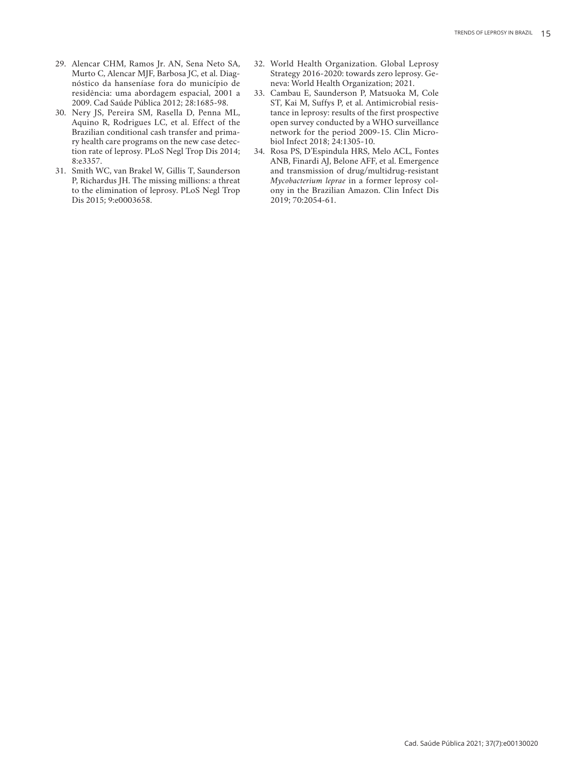- 29. Alencar CHM, Ramos Jr. AN, Sena Neto SA, Murto C, Alencar MJF, Barbosa JC, et al. Diagnóstico da hanseníase fora do município de residência: uma abordagem espacial, 2001 a 2009. Cad Saúde Pública 2012; 28:1685-98.
- 30. Nery JS, Pereira SM, Rasella D, Penna ML, Aquino R, Rodrigues LC, et al. Effect of the Brazilian conditional cash transfer and primary health care programs on the new case detection rate of leprosy. PLoS Negl Trop Dis 2014; 8:e3357.
- 31. Smith WC, van Brakel W, Gillis T, Saunderson P, Richardus JH. The missing millions: a threat to the elimination of leprosy. PLoS Negl Trop Dis 2015; 9:e0003658.
- 32. World Health Organization. Global Leprosy Strategy 2016-2020: towards zero leprosy. Geneva: World Health Organization; 2021.
- 33. Cambau E, Saunderson P, Matsuoka M, Cole ST, Kai M, Suffys P, et al. Antimicrobial resistance in leprosy: results of the first prospective open survey conducted by a WHO surveillance network for the period 2009-15. Clin Microbiol Infect 2018; 24:1305-10.
- 34. Rosa PS, D'Espindula HRS, Melo ACL, Fontes ANB, Finardi AJ, Belone AFF, et al. Emergence and transmission of drug/multidrug-resistant *Mycobacterium leprae* in a former leprosy colony in the Brazilian Amazon. Clin Infect Dis 2019; 70:2054-61.